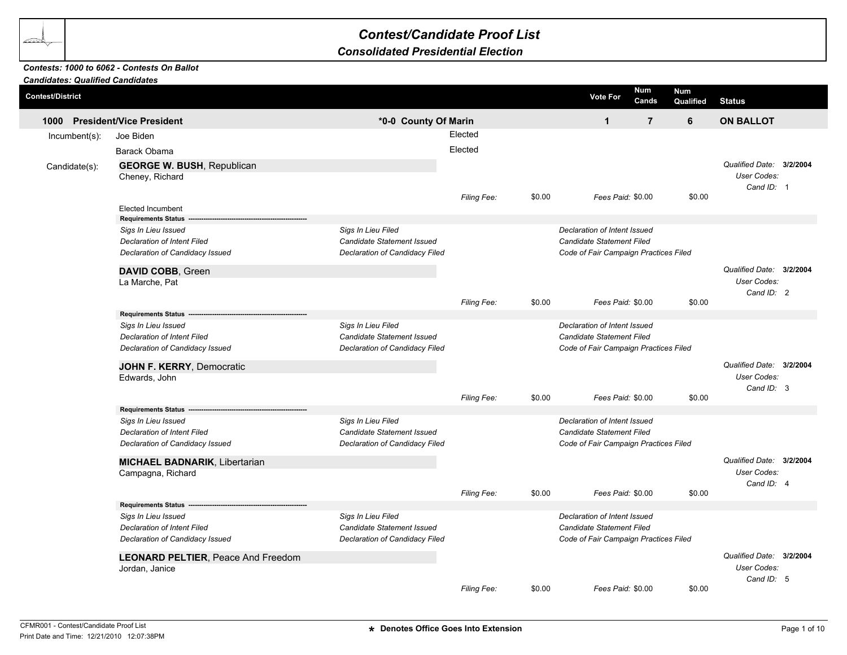## *Contest/Candidate Proof List*

## *Consolidated Presidential Election*

## *Contests: 1000 to 6062 - Contests On Ballot*

| <b>Candidates: Qualified Candidates</b> |                                                                                                                     |                                                                                                                                                                                                 |             |        |                                                                                                    |                |                         |                                                       |  |
|-----------------------------------------|---------------------------------------------------------------------------------------------------------------------|-------------------------------------------------------------------------------------------------------------------------------------------------------------------------------------------------|-------------|--------|----------------------------------------------------------------------------------------------------|----------------|-------------------------|-------------------------------------------------------|--|
| <b>Contest/District</b>                 |                                                                                                                     |                                                                                                                                                                                                 |             |        | <b>Vote For</b>                                                                                    | Num<br>Cands   | <b>Num</b><br>Qualified | <b>Status</b>                                         |  |
| 1000                                    | <b>President/Vice President</b>                                                                                     | *0-0 County Of Marin                                                                                                                                                                            |             |        | $\mathbf{1}$                                                                                       | $\overline{7}$ | 6                       | <b>ON BALLOT</b>                                      |  |
| $Incumbent(s)$ :                        | Joe Biden                                                                                                           |                                                                                                                                                                                                 | Elected     |        |                                                                                                    |                |                         |                                                       |  |
|                                         | Barack Obama                                                                                                        |                                                                                                                                                                                                 | Elected     |        |                                                                                                    |                |                         |                                                       |  |
| Candidate(s):                           | <b>GEORGE W. BUSH, Republican</b><br>Cheney, Richard                                                                |                                                                                                                                                                                                 |             |        |                                                                                                    |                |                         | Qualified Date: 3/2/2004<br>User Codes:<br>Cand ID: 1 |  |
|                                         | <b>Elected Incumbent</b>                                                                                            |                                                                                                                                                                                                 | Filing Fee: | \$0.00 | Fees Paid: \$0.00                                                                                  |                | \$0.00                  |                                                       |  |
|                                         | <b>Requirements Status</b><br>Sigs In Lieu Issued<br>Declaration of Intent Filed<br>Declaration of Candidacy Issued | Sigs In Lieu Filed<br>Declaration of Intent Issued<br><b>Candidate Statement Issued</b><br>Candidate Statement Filed<br>Declaration of Candidacy Filed<br>Code of Fair Campaign Practices Filed |             |        |                                                                                                    |                |                         |                                                       |  |
|                                         | DAVID COBB, Green<br>La Marche, Pat                                                                                 |                                                                                                                                                                                                 |             |        |                                                                                                    |                |                         | Qualified Date: 3/2/2004<br>User Codes:<br>Cand ID: 2 |  |
|                                         | <b>Requirements Status</b>                                                                                          |                                                                                                                                                                                                 | Filing Fee: | \$0.00 | Fees Paid: \$0.00                                                                                  |                | \$0.00                  |                                                       |  |
|                                         | Sigs In Lieu Issued<br><b>Declaration of Intent Filed</b><br>Declaration of Candidacy Issued                        | Sigs In Lieu Filed<br>Candidate Statement Issued<br>Declaration of Candidacy Filed                                                                                                              |             |        | Declaration of Intent Issued<br>Candidate Statement Filed<br>Code of Fair Campaign Practices Filed |                |                         |                                                       |  |
|                                         | JOHN F. KERRY, Democratic<br>Edwards, John                                                                          |                                                                                                                                                                                                 | Filing Fee: | \$0.00 | Fees Paid: \$0.00                                                                                  |                | \$0.00                  | Qualified Date: 3/2/2004<br>User Codes:<br>Cand ID: 3 |  |
|                                         | <b>Requirements Status</b>                                                                                          |                                                                                                                                                                                                 |             |        |                                                                                                    |                |                         |                                                       |  |
|                                         | Sigs In Lieu Issued<br><b>Declaration of Intent Filed</b><br>Declaration of Candidacy Issued                        | Sigs In Lieu Filed<br><b>Candidate Statement Issued</b><br>Declaration of Candidacy Filed                                                                                                       |             |        | Declaration of Intent Issued<br>Candidate Statement Filed<br>Code of Fair Campaign Practices Filed |                |                         |                                                       |  |
|                                         | <b>MICHAEL BADNARIK, Libertarian</b><br>Campagna, Richard                                                           |                                                                                                                                                                                                 | Filing Fee: | \$0.00 | Fees Paid: \$0.00                                                                                  |                | \$0.00                  | Qualified Date: 3/2/2004<br>User Codes:<br>Cand ID: 4 |  |
|                                         | <b>Requirements Status</b>                                                                                          |                                                                                                                                                                                                 |             |        |                                                                                                    |                |                         |                                                       |  |
|                                         | Sigs In Lieu Issued<br>Declaration of Intent Filed<br>Declaration of Candidacy Issued                               | Sigs In Lieu Filed<br>Candidate Statement Issued<br>Declaration of Candidacy Filed                                                                                                              |             |        | Declaration of Intent Issued<br>Candidate Statement Filed<br>Code of Fair Campaign Practices Filed |                |                         |                                                       |  |
|                                         | <b>LEONARD PELTIER, Peace And Freedom</b><br>Jordan, Janice                                                         |                                                                                                                                                                                                 |             |        |                                                                                                    |                |                         | Qualified Date: 3/2/2004<br>User Codes:<br>Cand ID: 5 |  |
|                                         |                                                                                                                     |                                                                                                                                                                                                 | Filing Fee: | \$0.00 | Fees Paid: \$0.00                                                                                  |                | \$0.00                  |                                                       |  |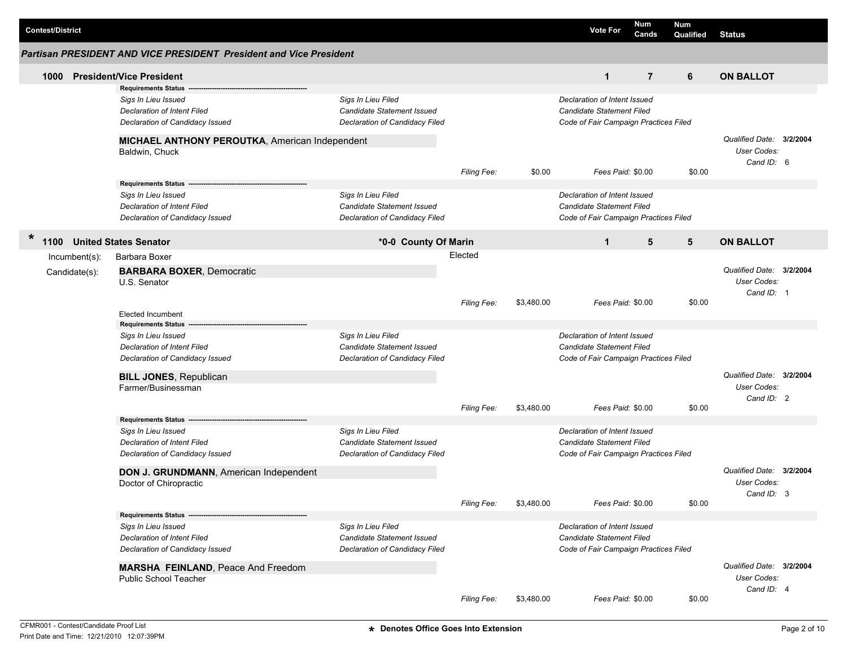| <b>Contest/District</b> |                                                                           |                                   |                    |            | <b>Vote For</b>                       | <b>Num</b><br>Cands | <b>Num</b><br>Qualified | <b>Status</b>                                         |  |
|-------------------------|---------------------------------------------------------------------------|-----------------------------------|--------------------|------------|---------------------------------------|---------------------|-------------------------|-------------------------------------------------------|--|
|                         | <b>Partisan PRESIDENT AND VICE PRESIDENT President and Vice President</b> |                                   |                    |            |                                       |                     |                         |                                                       |  |
| 1000                    | <b>President/Vice President</b>                                           |                                   |                    |            | $\mathbf{1}$                          | $\overline{7}$      | 6                       | <b>ON BALLOT</b>                                      |  |
|                         | <b>Requirements Status</b>                                                |                                   |                    |            |                                       |                     |                         |                                                       |  |
|                         | Sigs In Lieu Issued                                                       | Sigs In Lieu Filed                |                    |            | Declaration of Intent Issued          |                     |                         |                                                       |  |
|                         | <b>Declaration of Intent Filed</b>                                        | Candidate Statement Issued        |                    |            | Candidate Statement Filed             |                     |                         |                                                       |  |
|                         | Declaration of Candidacy Issued                                           | Declaration of Candidacy Filed    |                    |            | Code of Fair Campaign Practices Filed |                     |                         |                                                       |  |
|                         | MICHAEL ANTHONY PEROUTKA, American Independent<br>Baldwin, Chuck          |                                   |                    |            |                                       |                     |                         | Qualified Date: 3/2/2004<br>User Codes:<br>Cand ID: 6 |  |
|                         |                                                                           |                                   | Filing Fee:        | \$0.00     | Fees Paid: \$0.00                     |                     | \$0.00                  |                                                       |  |
|                         | <b>Requirements Status</b>                                                |                                   |                    |            |                                       |                     |                         |                                                       |  |
|                         | Sigs In Lieu Issued                                                       | Sigs In Lieu Filed                |                    |            | Declaration of Intent Issued          |                     |                         |                                                       |  |
|                         | Declaration of Intent Filed                                               | Candidate Statement Issued        |                    |            | Candidate Statement Filed             |                     |                         |                                                       |  |
|                         | Declaration of Candidacy Issued                                           | Declaration of Candidacy Filed    |                    |            | Code of Fair Campaign Practices Filed |                     |                         |                                                       |  |
| *<br>1100               | <b>United States Senator</b>                                              | *0-0 County Of Marin              |                    |            | $\mathbf{1}$                          | 5                   | $5\phantom{1}$          | <b>ON BALLOT</b>                                      |  |
| $Incumbent(s)$ :        | Barbara Boxer                                                             |                                   | Elected            |            |                                       |                     |                         |                                                       |  |
|                         | <b>BARBARA BOXER, Democratic</b>                                          |                                   |                    |            |                                       |                     |                         | Qualified Date: 3/2/2004                              |  |
| Candidate(s):           | U.S. Senator                                                              |                                   |                    |            |                                       |                     |                         | User Codes:                                           |  |
|                         |                                                                           |                                   |                    |            |                                       |                     |                         | Cand ID: 1                                            |  |
|                         |                                                                           |                                   | <b>Filing Fee:</b> | \$3,480.00 | Fees Paid: \$0.00                     |                     | \$0.00                  |                                                       |  |
|                         | <b>Elected Incumbent</b>                                                  |                                   |                    |            |                                       |                     |                         |                                                       |  |
|                         | <b>Requirements Status</b>                                                |                                   |                    |            |                                       |                     |                         |                                                       |  |
|                         | Sigs In Lieu Issued                                                       | Sigs In Lieu Filed                |                    |            | Declaration of Intent Issued          |                     |                         |                                                       |  |
|                         | <b>Declaration of Intent Filed</b>                                        | <b>Candidate Statement Issued</b> |                    |            | <b>Candidate Statement Filed</b>      |                     |                         |                                                       |  |
|                         | Declaration of Candidacy Issued                                           | Declaration of Candidacy Filed    |                    |            | Code of Fair Campaign Practices Filed |                     |                         |                                                       |  |
|                         | <b>BILL JONES, Republican</b>                                             |                                   |                    |            |                                       |                     |                         | Qualified Date: 3/2/2004                              |  |
|                         | Farmer/Businessman                                                        |                                   |                    |            |                                       |                     |                         | User Codes:                                           |  |
|                         |                                                                           |                                   |                    |            |                                       |                     |                         | Cand ID: 2                                            |  |
|                         |                                                                           |                                   | Filing Fee:        | \$3,480.00 | Fees Paid: \$0.00                     |                     | \$0.00                  |                                                       |  |
|                         | <b>Requirements Status</b>                                                |                                   |                    |            |                                       |                     |                         |                                                       |  |
|                         | Sigs In Lieu Issued                                                       | Sigs In Lieu Filed                |                    |            | Declaration of Intent Issued          |                     |                         |                                                       |  |
|                         | <b>Declaration of Intent Filed</b>                                        | Candidate Statement Issued        |                    |            | Candidate Statement Filed             |                     |                         |                                                       |  |
|                         | Declaration of Candidacy Issued                                           | Declaration of Candidacy Filed    |                    |            | Code of Fair Campaign Practices Filed |                     |                         |                                                       |  |
|                         | DON J. GRUNDMANN, American Independent                                    |                                   |                    |            |                                       |                     |                         | Qualified Date: 3/2/2004                              |  |
|                         | Doctor of Chiropractic                                                    |                                   |                    |            |                                       |                     |                         | User Codes:                                           |  |
|                         |                                                                           |                                   |                    |            |                                       |                     |                         | Cand ID: 3                                            |  |
|                         |                                                                           |                                   | Filing Fee:        | \$3,480.00 | Fees Paid: \$0.00                     |                     | \$0.00                  |                                                       |  |
|                         | Requirements Status -                                                     |                                   |                    |            |                                       |                     |                         |                                                       |  |
|                         | Sigs In Lieu Issued                                                       | Sigs In Lieu Filed                |                    |            | Declaration of Intent Issued          |                     |                         |                                                       |  |
|                         | <b>Declaration of Intent Filed</b>                                        | Candidate Statement Issued        |                    |            | Candidate Statement Filed             |                     |                         |                                                       |  |
|                         | Declaration of Candidacy Issued                                           | Declaration of Candidacy Filed    |                    |            | Code of Fair Campaign Practices Filed |                     |                         |                                                       |  |
|                         | <b>MARSHA FEINLAND, Peace And Freedom</b>                                 |                                   |                    |            |                                       |                     |                         | Qualified Date: 3/2/2004                              |  |
|                         | <b>Public School Teacher</b>                                              |                                   |                    |            |                                       |                     |                         | User Codes:                                           |  |
|                         |                                                                           |                                   |                    |            |                                       |                     |                         | Cand ID: 4                                            |  |
|                         |                                                                           |                                   | Filing Fee:        | \$3,480.00 | Fees Paid: \$0.00                     |                     | \$0.00                  |                                                       |  |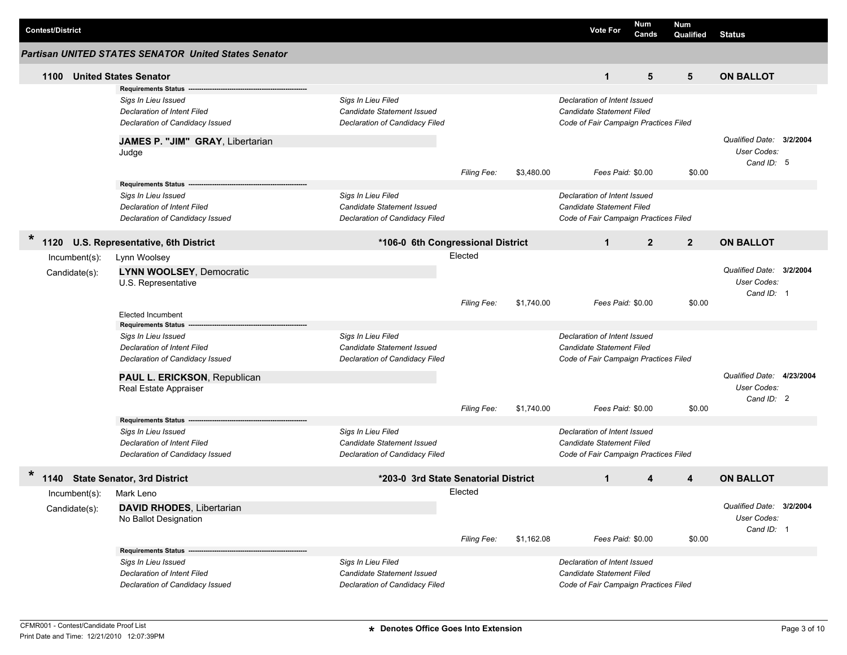| <b>Contest/District</b> |                                                                                                                               |                                                                                           |                    |            | <b>Vote For</b>                                                                                           | Num<br>Cands   | <b>Num</b><br>Qualified | <b>Status</b>                                         |  |
|-------------------------|-------------------------------------------------------------------------------------------------------------------------------|-------------------------------------------------------------------------------------------|--------------------|------------|-----------------------------------------------------------------------------------------------------------|----------------|-------------------------|-------------------------------------------------------|--|
|                         | <b>Partisan UNITED STATES SENATOR United States Senator</b>                                                                   |                                                                                           |                    |            |                                                                                                           |                |                         |                                                       |  |
| 1100                    | <b>United States Senator</b>                                                                                                  |                                                                                           |                    |            | $\mathbf{1}$                                                                                              | 5              | 5                       | <b>ON BALLOT</b>                                      |  |
|                         | <b>Requirements Status</b>                                                                                                    |                                                                                           |                    |            |                                                                                                           |                |                         |                                                       |  |
|                         | Sigs In Lieu Issued<br>Declaration of Intent Filed<br>Declaration of Candidacy Issued                                         | Sigs In Lieu Filed<br>Candidate Statement Issued<br>Declaration of Candidacy Filed        |                    |            | Declaration of Intent Issued<br><b>Candidate Statement Filed</b><br>Code of Fair Campaign Practices Filed |                |                         |                                                       |  |
|                         | JAMES P. "JIM" GRAY, Libertarian<br>Judge                                                                                     |                                                                                           |                    |            |                                                                                                           |                |                         | Qualified Date: 3/2/2004<br>User Codes:<br>Cand ID: 5 |  |
|                         |                                                                                                                               |                                                                                           | <b>Filing Fee:</b> | \$3,480.00 | Fees Paid: \$0.00                                                                                         |                | \$0.00                  |                                                       |  |
|                         | <b>Requirements Status --</b><br>Sigs In Lieu Issued<br><b>Declaration of Intent Filed</b><br>Declaration of Candidacy Issued | Sigs In Lieu Filed<br><b>Candidate Statement Issued</b><br>Declaration of Candidacy Filed |                    |            | Declaration of Intent Issued<br><b>Candidate Statement Filed</b><br>Code of Fair Campaign Practices Filed |                |                         |                                                       |  |
| $\ast$<br>1120          | U.S. Representative, 6th District                                                                                             | *106-0 6th Congressional District                                                         |                    |            | $\mathbf{1}$                                                                                              | $\overline{2}$ | $\overline{2}$          | <b>ON BALLOT</b>                                      |  |
| $Incumbent(s)$ :        | Lynn Woolsey                                                                                                                  |                                                                                           | Elected            |            |                                                                                                           |                |                         |                                                       |  |
| Candidate(s):           | <b>LYNN WOOLSEY, Democratic</b><br>U.S. Representative                                                                        |                                                                                           |                    | \$1.740.00 | Fees Paid: \$0.00                                                                                         |                | \$0.00                  | Qualified Date: 3/2/2004<br>User Codes:<br>Cand ID: 1 |  |
|                         | <b>Elected Incumbent</b>                                                                                                      |                                                                                           | <b>Filing Fee:</b> |            |                                                                                                           |                |                         |                                                       |  |
|                         | <b>Requirements Status</b>                                                                                                    |                                                                                           |                    |            |                                                                                                           |                |                         |                                                       |  |
|                         | Sigs In Lieu Issued<br><b>Declaration of Intent Filed</b><br>Declaration of Candidacy Issued                                  | Sigs In Lieu Filed<br>Candidate Statement Issued<br>Declaration of Candidacy Filed        |                    |            | Declaration of Intent Issued<br>Candidate Statement Filed<br>Code of Fair Campaign Practices Filed        |                |                         |                                                       |  |
|                         | PAUL L. ERICKSON, Republican                                                                                                  |                                                                                           |                    |            |                                                                                                           |                |                         | Qualified Date: 4/23/2004                             |  |
|                         | Real Estate Appraiser                                                                                                         |                                                                                           |                    |            |                                                                                                           |                |                         | User Codes:<br>Cand ID: 2                             |  |
|                         |                                                                                                                               |                                                                                           | <b>Filing Fee:</b> | \$1,740.00 | Fees Paid: \$0.00                                                                                         |                | \$0.00                  |                                                       |  |
|                         | Requirements Status ---<br>Sigs In Lieu Issued<br>Declaration of Intent Filed<br>Declaration of Candidacy Issued              | Sigs In Lieu Filed<br>Candidate Statement Issued<br>Declaration of Candidacy Filed        |                    |            | Declaration of Intent Issued<br>Candidate Statement Filed<br>Code of Fair Campaign Practices Filed        |                |                         |                                                       |  |
|                         | 1140 State Senator, 3rd District                                                                                              | *203-0 3rd State Senatorial District                                                      |                    |            | $\mathbf 1$                                                                                               | 4              | 4                       | <b>ON BALLOT</b>                                      |  |
| Incumbent(s): Mark Leno |                                                                                                                               |                                                                                           | Elected            |            |                                                                                                           |                |                         |                                                       |  |
| Candidate(s):           | <b>DAVID RHODES, Libertarian</b><br>No Ballot Designation                                                                     |                                                                                           |                    |            |                                                                                                           |                |                         | Qualified Date: 3/2/2004<br>User Codes:<br>Cand ID: 1 |  |
|                         | <b>Requirements Status -</b>                                                                                                  |                                                                                           | Filing Fee:        | \$1,162.08 | Fees Paid: \$0.00                                                                                         |                | \$0.00                  |                                                       |  |
|                         | Sigs In Lieu Issued<br>Declaration of Intent Filed<br>Declaration of Candidacy Issued                                         | Sigs In Lieu Filed<br><b>Candidate Statement Issued</b><br>Declaration of Candidacy Filed |                    |            | Declaration of Intent Issued<br>Candidate Statement Filed<br>Code of Fair Campaign Practices Filed        |                |                         |                                                       |  |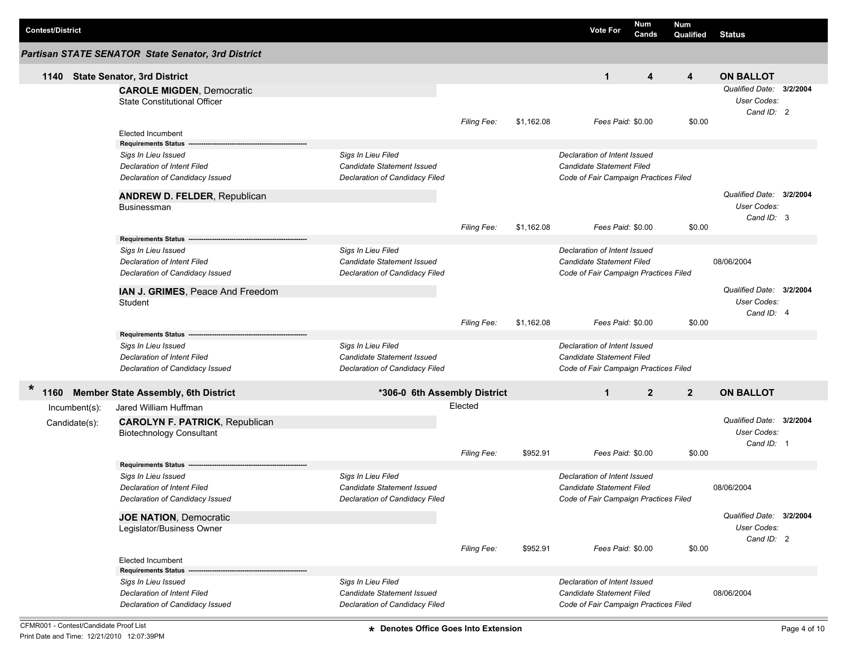|                         |                                                           |                                                  |                    |            |                                                           | Num            | Num            |                                         |  |
|-------------------------|-----------------------------------------------------------|--------------------------------------------------|--------------------|------------|-----------------------------------------------------------|----------------|----------------|-----------------------------------------|--|
| <b>Contest/District</b> |                                                           |                                                  |                    |            | <b>Vote For</b>                                           | Cands          | Qualified      | <b>Status</b>                           |  |
|                         | Partisan STATE SENATOR State Senator, 3rd District        |                                                  |                    |            |                                                           |                |                |                                         |  |
|                         | 1140 State Senator, 3rd District                          |                                                  |                    |            | $\mathbf{1}$                                              | 4              | 4              | <b>ON BALLOT</b>                        |  |
|                         | <b>CAROLE MIGDEN, Democratic</b>                          |                                                  |                    |            |                                                           |                |                | Qualified Date: 3/2/2004                |  |
|                         | <b>State Constitutional Officer</b>                       |                                                  |                    |            |                                                           |                |                | User Codes:                             |  |
|                         |                                                           |                                                  |                    |            |                                                           |                |                | Cand ID: 2                              |  |
|                         |                                                           |                                                  | Filing Fee:        | \$1.162.08 | Fees Paid: \$0.00                                         |                | \$0.00         |                                         |  |
|                         | <b>Elected Incumbent</b>                                  |                                                  |                    |            |                                                           |                |                |                                         |  |
|                         | Requirements Status ---                                   |                                                  |                    |            |                                                           |                |                |                                         |  |
|                         | Sigs In Lieu Issued<br><b>Declaration of Intent Filed</b> | Sigs In Lieu Filed<br>Candidate Statement Issued |                    |            | Declaration of Intent Issued<br>Candidate Statement Filed |                |                |                                         |  |
|                         | Declaration of Candidacy Issued                           | Declaration of Candidacy Filed                   |                    |            | Code of Fair Campaign Practices Filed                     |                |                |                                         |  |
|                         |                                                           |                                                  |                    |            |                                                           |                |                |                                         |  |
|                         | <b>ANDREW D. FELDER, Republican</b>                       |                                                  |                    |            |                                                           |                |                | Qualified Date: 3/2/2004                |  |
|                         | Businessman                                               |                                                  |                    |            |                                                           |                |                | User Codes:                             |  |
|                         |                                                           |                                                  | <b>Filing Fee:</b> | \$1,162.08 | Fees Paid: \$0.00                                         |                | \$0.00         | Cand ID: 3                              |  |
|                         | <b>Requirements Status</b>                                |                                                  |                    |            |                                                           |                |                |                                         |  |
|                         | Sigs In Lieu Issued                                       | Sigs In Lieu Filed                               |                    |            | Declaration of Intent Issued                              |                |                |                                         |  |
|                         | <b>Declaration of Intent Filed</b>                        | Candidate Statement Issued                       |                    |            | Candidate Statement Filed                                 |                |                | 08/06/2004                              |  |
|                         | Declaration of Candidacy Issued                           | Declaration of Candidacy Filed                   |                    |            | Code of Fair Campaign Practices Filed                     |                |                |                                         |  |
|                         |                                                           |                                                  |                    |            |                                                           |                |                |                                         |  |
|                         | IAN J. GRIMES, Peace And Freedom                          |                                                  |                    |            |                                                           |                |                | Qualified Date: 3/2/2004<br>User Codes: |  |
|                         | Student                                                   |                                                  |                    |            |                                                           |                |                | Cand ID: 4                              |  |
|                         |                                                           |                                                  | Filing Fee:        | \$1,162.08 | Fees Paid: \$0.00                                         |                | \$0.00         |                                         |  |
|                         | Requirements Status --                                    |                                                  |                    |            |                                                           |                |                |                                         |  |
|                         | Sigs In Lieu Issued                                       | Sigs In Lieu Filed                               |                    |            | Declaration of Intent Issued                              |                |                |                                         |  |
|                         | <b>Declaration of Intent Filed</b>                        | <b>Candidate Statement Issued</b>                |                    |            | Candidate Statement Filed                                 |                |                |                                         |  |
|                         | Declaration of Candidacy Issued                           | Declaration of Candidacy Filed                   |                    |            | Code of Fair Campaign Practices Filed                     |                |                |                                         |  |
| $\ast$<br>1160          | <b>Member State Assembly, 6th District</b>                | *306-0 6th Assembly District                     |                    |            | $\mathbf{1}$                                              | $\overline{2}$ | $\overline{2}$ | <b>ON BALLOT</b>                        |  |
| Incumbent(s):           | Jared William Huffman                                     |                                                  | Elected            |            |                                                           |                |                |                                         |  |
|                         | <b>CAROLYN F. PATRICK, Republican</b>                     |                                                  |                    |            |                                                           |                |                | Qualified Date: 3/2/2004                |  |
| Candidate(s):           | <b>Biotechnology Consultant</b>                           |                                                  |                    |            |                                                           |                |                | User Codes:                             |  |
|                         |                                                           |                                                  |                    |            |                                                           |                |                | Cand ID: 1                              |  |
|                         |                                                           |                                                  | <b>Filing Fee:</b> | \$952.91   | Fees Paid: \$0.00                                         |                | \$0.00         |                                         |  |
|                         | <b>Requirements Status</b>                                |                                                  |                    |            |                                                           |                |                |                                         |  |
|                         | Sigs In Lieu Issued                                       | Sigs In Lieu Filed                               |                    |            | Declaration of Intent Issued                              |                |                |                                         |  |
|                         | <b>Declaration of Intent Filed</b>                        | Candidate Statement Issued                       |                    |            | Candidate Statement Filed                                 |                |                | 08/06/2004                              |  |
|                         | Declaration of Candidacy Issued                           | Declaration of Candidacy Filed                   |                    |            | Code of Fair Campaign Practices Filed                     |                |                |                                         |  |
|                         | <b>JOE NATION, Democratic</b>                             |                                                  |                    |            |                                                           |                |                | Qualified Date: 3/2/2004                |  |
|                         | Legislator/Business Owner                                 |                                                  |                    |            |                                                           |                |                | User Codes:                             |  |
|                         |                                                           |                                                  |                    |            |                                                           |                |                | Cand ID: 2                              |  |
|                         |                                                           |                                                  | Filing Fee:        | \$952.91   | Fees Paid: \$0.00                                         |                | \$0.00         |                                         |  |
|                         | <b>Elected Incumbent</b><br><b>Requirements Status</b>    |                                                  |                    |            |                                                           |                |                |                                         |  |
|                         | Sigs In Lieu Issued                                       | Sigs In Lieu Filed                               |                    |            | Declaration of Intent Issued                              |                |                |                                         |  |
|                         | <b>Declaration of Intent Filed</b>                        | Candidate Statement Issued                       |                    |            | Candidate Statement Filed                                 |                |                | 08/06/2004                              |  |
|                         | Declaration of Candidacy Issued                           | Declaration of Candidacy Filed                   |                    |            | Code of Fair Campaign Practices Filed                     |                |                |                                         |  |
|                         |                                                           |                                                  |                    |            |                                                           |                |                |                                         |  |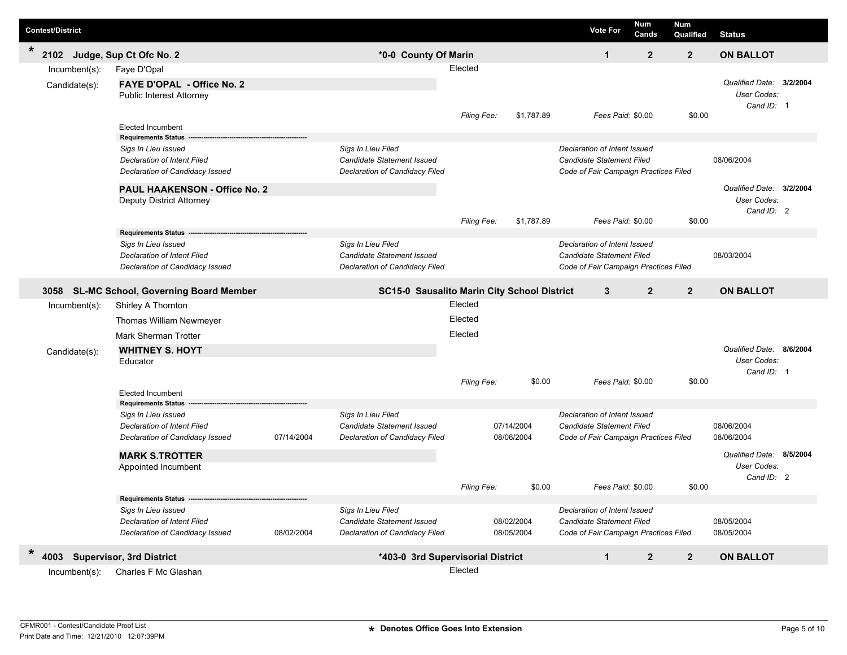| <b>Contest/District</b>                 |                                                                                                                              |            |                                                                                           |                               |                          | <b>Vote For</b>                                                                                                         | Num<br>Cands   | Num<br>Qualified | <b>Status</b>                                                |  |
|-----------------------------------------|------------------------------------------------------------------------------------------------------------------------------|------------|-------------------------------------------------------------------------------------------|-------------------------------|--------------------------|-------------------------------------------------------------------------------------------------------------------------|----------------|------------------|--------------------------------------------------------------|--|
| $\star$<br>2102 Judge, Sup Ct Ofc No. 2 |                                                                                                                              |            | *0-0 County Of Marin                                                                      |                               |                          | $\mathbf{1}$                                                                                                            | $\overline{2}$ | $\overline{2}$   | <b>ON BALLOT</b>                                             |  |
| $Incumbent(s)$ :<br>Candidate(s):       | Faye D'Opal<br><b>FAYE D'OPAL - Office No. 2</b><br><b>Public Interest Attorney</b>                                          |            |                                                                                           | Elected                       |                          |                                                                                                                         |                |                  | Qualified Date: 3/2/2004<br>User Codes:<br>Cand ID: 1        |  |
|                                         | <b>Elected Incumbent</b><br><b>Requirements Status</b>                                                                       |            |                                                                                           | <b>Filing Fee:</b>            | \$1,787.89               | Fees Paid: \$0.00                                                                                                       |                | \$0.00           |                                                              |  |
|                                         | Sigs In Lieu Issued<br><b>Declaration of Intent Filed</b><br>Declaration of Candidacy Issued                                 |            | Sigs In Lieu Filed<br><b>Candidate Statement Issued</b><br>Declaration of Candidacy Filed |                               |                          | Declaration of Intent Issued<br>Candidate Statement Filed<br>Code of Fair Campaign Practices Filed                      |                |                  | 08/06/2004                                                   |  |
|                                         | <b>PAUL HAAKENSON - Office No. 2</b><br>Deputy District Attorney                                                             |            |                                                                                           |                               |                          |                                                                                                                         |                |                  | Qualified Date: 3/2/2004<br><b>User Codes:</b><br>Cand ID: 2 |  |
|                                         | <b>Requirements Status</b><br>Sigs In Lieu Issued<br><b>Declaration of Intent Filed</b><br>Declaration of Candidacy Issued   |            | Sigs In Lieu Filed<br>Candidate Statement Issued<br>Declaration of Candidacy Filed        | <b>Filing Fee:</b>            | \$1,787.89               | Fees Paid: \$0.00<br>Declaration of Intent Issued<br>Candidate Statement Filed<br>Code of Fair Campaign Practices Filed |                | \$0.00           | 08/03/2004                                                   |  |
|                                         | 3058 SL-MC School, Governing Board Member                                                                                    |            | SC15-0 Sausalito Marin City School District                                               |                               |                          | 3                                                                                                                       | $\overline{2}$ | $\overline{2}$   | <b>ON BALLOT</b>                                             |  |
| $Incumbent(s)$ :<br>Candidate(s):       | Shirley A Thornton<br>Thomas William Newmeyer<br><b>Mark Sherman Trotter</b><br><b>WHITNEY S. HOYT</b><br>Educator           |            |                                                                                           | Elected<br>Elected<br>Elected |                          |                                                                                                                         |                |                  | Qualified Date: 8/6/2004<br>User Codes:                      |  |
|                                         | <b>Elected Incumbent</b>                                                                                                     |            |                                                                                           | Filing Fee:                   | \$0.00                   | Fees Paid: \$0.00                                                                                                       |                | \$0.00           | Cand ID: 1                                                   |  |
|                                         | <b>Requirements Status</b><br>Sigs In Lieu Issued<br><b>Declaration of Intent Filed</b><br>Declaration of Candidacy Issued   | 07/14/2004 | Sigs In Lieu Filed<br>Candidate Statement Issued<br>Declaration of Candidacy Filed        |                               | 07/14/2004<br>08/06/2004 | Declaration of Intent Issued<br>Candidate Statement Filed<br>Code of Fair Campaign Practices Filed                      |                |                  | 08/06/2004<br>08/06/2004                                     |  |
|                                         | <b>MARK S.TROTTER</b><br>Appointed Incumbent                                                                                 |            |                                                                                           | <b>Filing Fee:</b>            | \$0.00                   | Fees Paid: \$0.00                                                                                                       |                | \$0.00           | Qualified Date: 8/5/2004<br><b>User Codes:</b><br>Cand ID: 2 |  |
|                                         | Requirements Status --------<br>Sigs In Lieu Issued<br><b>Declaration of Intent Filed</b><br>Declaration of Candidacy Issued | 08/02/2004 | Sigs In Lieu Filed<br>Candidate Statement Issued<br>Declaration of Candidacy Filed        |                               | 08/02/2004<br>08/05/2004 | Declaration of Intent Issued<br>Candidate Statement Filed<br>Code of Fair Campaign Practices Filed                      |                |                  | 08/05/2004<br>08/05/2004                                     |  |
| $\ast$<br>4003                          | <b>Supervisor, 3rd District</b>                                                                                              |            | *403-0 3rd Supervisorial District                                                         |                               |                          | $\mathbf{1}$                                                                                                            | $\mathbf{2}$   | $\overline{2}$   | <b>ON BALLOT</b>                                             |  |
| $Incumbent(s)$ :                        | Charles F Mc Glashan                                                                                                         |            |                                                                                           | Elected                       |                          |                                                                                                                         |                |                  |                                                              |  |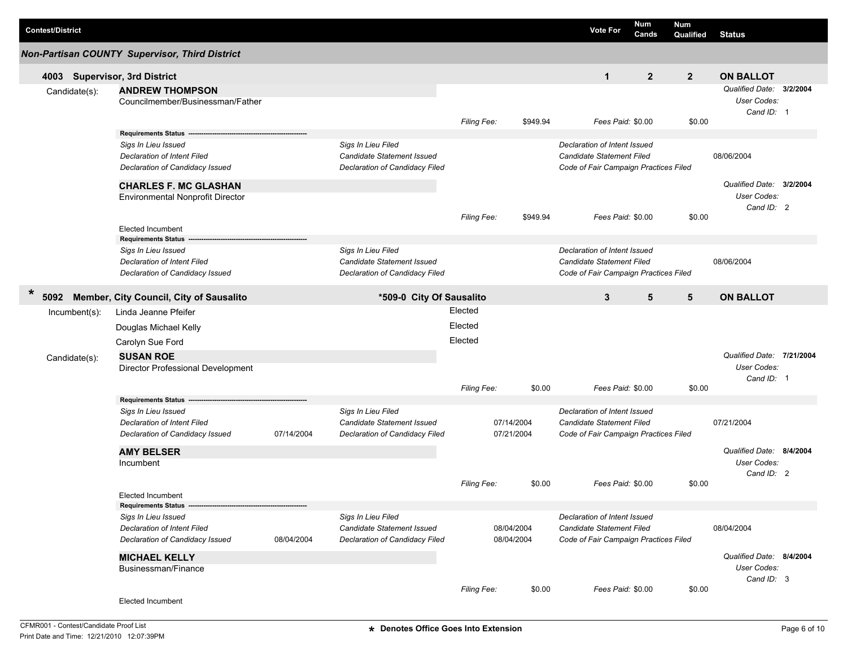| <b>Contest/District</b>       |                                                                                                                            |            |                                                                                           |                    |                          |          | <b>Vote For</b>                                                                                    | <b>Num</b><br>Cands | <b>Num</b><br>Qualified                 | <b>Status</b>                                          |  |
|-------------------------------|----------------------------------------------------------------------------------------------------------------------------|------------|-------------------------------------------------------------------------------------------|--------------------|--------------------------|----------|----------------------------------------------------------------------------------------------------|---------------------|-----------------------------------------|--------------------------------------------------------|--|
|                               | <b>Non-Partisan COUNTY Supervisor, Third District</b>                                                                      |            |                                                                                           |                    |                          |          |                                                                                                    |                     |                                         |                                                        |  |
| 4003 Supervisor, 3rd District |                                                                                                                            |            |                                                                                           |                    |                          |          | $\mathbf{1}$                                                                                       | $\overline{2}$      | $\overline{2}$                          | <b>ON BALLOT</b>                                       |  |
| Candidate(s):                 | <b>ANDREW THOMPSON</b><br>Councilmember/Businessman/Father                                                                 |            |                                                                                           |                    |                          |          |                                                                                                    |                     |                                         | Qualified Date: 3/2/2004<br>User Codes:<br>Cand ID: 1  |  |
|                               |                                                                                                                            |            |                                                                                           | Filing Fee:        |                          | \$949.94 | Fees Paid: \$0.00                                                                                  |                     | \$0.00                                  |                                                        |  |
|                               | Requirements Status --<br>Sigs In Lieu Issued<br><b>Declaration of Intent Filed</b>                                        |            | Sigs In Lieu Filed<br>Candidate Statement Issued                                          |                    |                          |          | Declaration of Intent Issued<br>Candidate Statement Filed                                          |                     |                                         | 08/06/2004                                             |  |
|                               | Declaration of Candidacy Issued                                                                                            |            | Declaration of Candidacy Filed                                                            |                    |                          |          | Code of Fair Campaign Practices Filed                                                              |                     |                                         |                                                        |  |
|                               | <b>CHARLES F. MC GLASHAN</b><br><b>Environmental Nonprofit Director</b>                                                    |            |                                                                                           |                    |                          |          |                                                                                                    |                     |                                         | Qualified Date: 3/2/2004<br>User Codes:<br>Cand ID: 2  |  |
|                               | <b>Elected Incumbent</b>                                                                                                   |            |                                                                                           | Filing Fee:        |                          | \$949.94 | Fees Paid: \$0.00                                                                                  |                     | \$0.00                                  |                                                        |  |
|                               | <b>Requirements Status</b><br>Sigs In Lieu Issued<br><b>Declaration of Intent Filed</b><br>Declaration of Candidacy Issued |            | Sigs In Lieu Filed<br><b>Candidate Statement Issued</b><br>Declaration of Candidacy Filed |                    |                          |          | Declaration of Intent Issued<br>Candidate Statement Filed<br>Code of Fair Campaign Practices Filed |                     |                                         | 08/06/2004                                             |  |
| $\ast$<br>5092                | Member, City Council, City of Sausalito                                                                                    |            | *509-0 City Of Sausalito                                                                  |                    |                          |          | $\mathbf{3}$                                                                                       | 5                   | 5                                       | <b>ON BALLOT</b>                                       |  |
| $Incumbent(s)$ :              | Linda Jeanne Pfeifer                                                                                                       |            |                                                                                           | Elected            |                          |          |                                                                                                    |                     |                                         |                                                        |  |
|                               | Douglas Michael Kelly                                                                                                      |            |                                                                                           | Elected            |                          |          |                                                                                                    |                     |                                         |                                                        |  |
|                               | Carolyn Sue Ford                                                                                                           |            |                                                                                           | Elected            |                          |          |                                                                                                    |                     |                                         |                                                        |  |
| Candidate(s):                 | <b>SUSAN ROE</b><br>Director Professional Development                                                                      |            |                                                                                           |                    |                          |          |                                                                                                    |                     |                                         | Qualified Date: 7/21/2004<br>User Codes:<br>Cand ID: 1 |  |
|                               |                                                                                                                            |            |                                                                                           | Filing Fee:        |                          | \$0.00   | Fees Paid: \$0.00                                                                                  |                     | \$0.00                                  |                                                        |  |
|                               | <b>Requirements Status</b><br>Sigs In Lieu Issued<br><b>Declaration of Intent Filed</b><br>Declaration of Candidacy Issued | 07/14/2004 | Sigs In Lieu Filed<br>Candidate Statement Issued<br>Declaration of Candidacy Filed        |                    | 07/14/2004<br>07/21/2004 |          | Declaration of Intent Issued<br>Candidate Statement Filed<br>Code of Fair Campaign Practices Filed |                     |                                         | 07/21/2004                                             |  |
|                               | <b>AMY BELSER</b><br>Incumbent                                                                                             |            |                                                                                           | <b>Filing Fee:</b> |                          | \$0.00   | Fees Paid: \$0.00                                                                                  |                     | \$0.00                                  | Qualified Date: 8/4/2004<br>User Codes:<br>Cand ID: 2  |  |
|                               | Elected Incumbent                                                                                                          |            |                                                                                           |                    |                          |          |                                                                                                    |                     |                                         |                                                        |  |
|                               | Requirements Status --                                                                                                     |            |                                                                                           |                    |                          |          |                                                                                                    |                     |                                         |                                                        |  |
|                               | Sigs In Lieu Issued<br><b>Declaration of Intent Filed</b><br>Declaration of Candidacy Issued                               | 08/04/2004 | Sigs In Lieu Filed<br>Candidate Statement Issued<br>Declaration of Candidacy Filed        |                    | 08/04/2004<br>08/04/2004 |          | Declaration of Intent Issued<br>Candidate Statement Filed<br>Code of Fair Campaign Practices Filed |                     |                                         | 08/04/2004                                             |  |
|                               | <b>MICHAEL KELLY</b><br>Businessman/Finance                                                                                |            |                                                                                           |                    |                          |          |                                                                                                    |                     | Qualified Date: 8/4/2004<br>User Codes: |                                                        |  |
|                               | Elected Incumbent                                                                                                          |            |                                                                                           | Filing Fee:        |                          | \$0.00   | Fees Paid: \$0.00                                                                                  |                     | \$0.00                                  | Cand ID: 3                                             |  |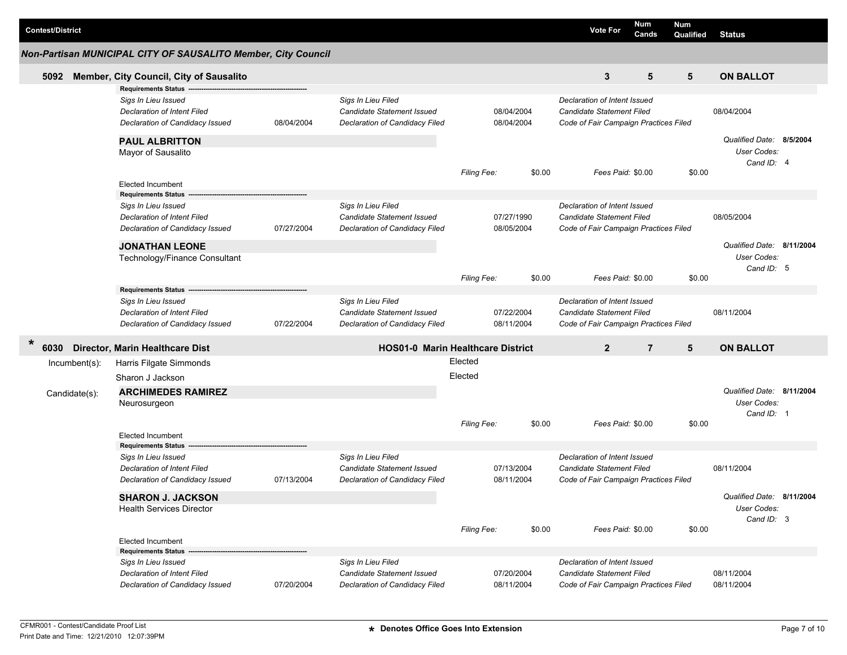| <b>Contest/District</b> |                                                                                                                     |            |                                                                                           |                    |                          |        | <b>Vote For</b>                                                                                           | <b>Num</b><br>Cands | <b>Num</b><br>Qualified | <b>Status</b>                                          |  |
|-------------------------|---------------------------------------------------------------------------------------------------------------------|------------|-------------------------------------------------------------------------------------------|--------------------|--------------------------|--------|-----------------------------------------------------------------------------------------------------------|---------------------|-------------------------|--------------------------------------------------------|--|
|                         | Non-Partisan MUNICIPAL CITY OF SAUSALITO Member, City Council                                                       |            |                                                                                           |                    |                          |        |                                                                                                           |                     |                         |                                                        |  |
| 5092                    | Member, City Council, City of Sausalito                                                                             |            |                                                                                           |                    |                          |        | 3                                                                                                         | 5                   | 5                       | <b>ON BALLOT</b>                                       |  |
|                         | <b>Requirements Status</b><br>Sigs In Lieu Issued<br>Declaration of Intent Filed<br>Declaration of Candidacy Issued | 08/04/2004 | Sigs In Lieu Filed<br>Candidate Statement Issued<br>Declaration of Candidacy Filed        |                    | 08/04/2004<br>08/04/2004 |        | Declaration of Intent Issued<br>Candidate Statement Filed<br>Code of Fair Campaign Practices Filed        |                     |                         | 08/04/2004                                             |  |
|                         | <b>PAUL ALBRITTON</b><br>Mayor of Sausalito                                                                         |            |                                                                                           |                    |                          |        |                                                                                                           |                     |                         | Qualified Date: 8/5/2004<br>User Codes:<br>Cand ID: 4  |  |
|                         | <b>Elected Incumbent</b><br><b>Requirements Status</b>                                                              |            |                                                                                           | Filing Fee:        |                          | \$0.00 | Fees Paid: \$0.00                                                                                         |                     | \$0.00                  |                                                        |  |
|                         | Sigs In Lieu Issued<br>Declaration of Intent Filed<br>Declaration of Candidacy Issued                               | 07/27/2004 | Sigs In Lieu Filed<br><b>Candidate Statement Issued</b><br>Declaration of Candidacy Filed |                    | 07/27/1990<br>08/05/2004 |        | Declaration of Intent Issued<br><b>Candidate Statement Filed</b><br>Code of Fair Campaign Practices Filed |                     |                         | 08/05/2004                                             |  |
|                         | <b>JONATHAN LEONE</b><br>Technology/Finance Consultant                                                              |            |                                                                                           |                    |                          | \$0.00 | Fees Paid: \$0.00                                                                                         |                     | \$0.00                  | Qualified Date: 8/11/2004<br>User Codes:<br>Cand ID: 5 |  |
|                         | <b>Requirements Status</b>                                                                                          |            |                                                                                           | Filing Fee:        |                          |        |                                                                                                           |                     |                         |                                                        |  |
|                         | Sigs In Lieu Issued<br><b>Declaration of Intent Filed</b><br>Declaration of Candidacy Issued                        | 07/22/2004 | Sigs In Lieu Filed<br><b>Candidate Statement Issued</b><br>Declaration of Candidacy Filed |                    | 07/22/2004<br>08/11/2004 |        | Declaration of Intent Issued<br>Candidate Statement Filed<br>Code of Fair Campaign Practices Filed        |                     |                         | 08/11/2004                                             |  |
| 6030                    | Director, Marin Healthcare Dist                                                                                     |            | <b>HOS01-0 Marin Healthcare District</b>                                                  |                    |                          |        | $\overline{2}$                                                                                            | $\overline{7}$      | 5                       | <b>ON BALLOT</b>                                       |  |
| Incumbent(s):           | Harris Filgate Simmonds<br>Sharon J Jackson                                                                         |            |                                                                                           | Elected<br>Elected |                          |        |                                                                                                           |                     |                         |                                                        |  |
| Candidate(s):           | <b>ARCHIMEDES RAMIREZ</b>                                                                                           |            |                                                                                           |                    |                          |        |                                                                                                           |                     |                         | Qualified Date: 8/11/2004                              |  |
|                         | Neurosurgeon                                                                                                        |            |                                                                                           |                    |                          |        |                                                                                                           |                     |                         | User Codes:                                            |  |
|                         | <b>Elected Incumbent</b>                                                                                            |            |                                                                                           | Filing Fee:        |                          | \$0.00 | Fees Paid: \$0.00                                                                                         |                     | \$0.00                  | Cand ID: 1                                             |  |
|                         | <b>Requirements Status</b><br>Sigs In Lieu Issued<br>Declaration of Intent Filed<br>Declaration of Candidacy Issued | 07/13/2004 | Sigs In Lieu Filed<br><b>Candidate Statement Issued</b><br>Declaration of Candidacy Filed |                    | 07/13/2004<br>08/11/2004 |        | Declaration of Intent Issued<br>Candidate Statement Filed<br>Code of Fair Campaign Practices Filed        |                     |                         | 08/11/2004                                             |  |
|                         | <b>SHARON J. JACKSON</b><br><b>Health Services Director</b>                                                         |            |                                                                                           | Filing Fee:        |                          | \$0.00 | Fees Paid: \$0.00                                                                                         |                     | \$0.00                  | Qualified Date: 8/11/2004<br>User Codes:<br>Cand ID: 3 |  |
|                         | <b>Elected Incumbent</b>                                                                                            |            |                                                                                           |                    |                          |        |                                                                                                           |                     |                         |                                                        |  |
|                         | <b>Requirements Status</b><br>Sigs In Lieu Issued<br>Declaration of Intent Filed<br>Declaration of Candidacy Issued | 07/20/2004 | Sigs In Lieu Filed<br>Candidate Statement Issued<br>Declaration of Candidacy Filed        |                    | 07/20/2004<br>08/11/2004 |        | Declaration of Intent Issued<br><b>Candidate Statement Filed</b><br>Code of Fair Campaign Practices Filed |                     |                         | 08/11/2004<br>08/11/2004                               |  |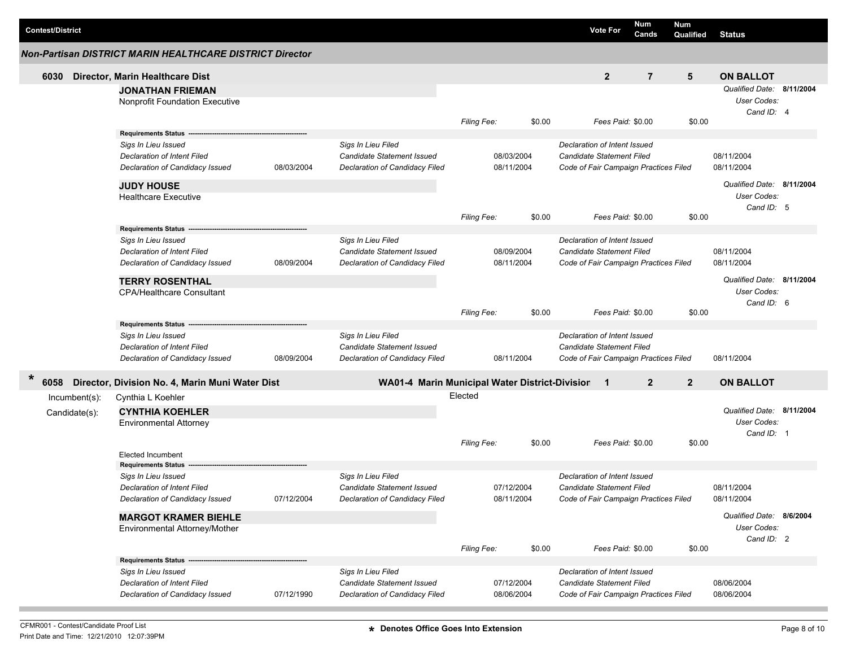| <b>Contest/District</b> |                                                                       |            |                                                              |                    |            |        |                                                                    | <b>Vote For</b>   | Num<br>Cands   | Num<br>Qualified | <b>Status</b>                                                 |  |
|-------------------------|-----------------------------------------------------------------------|------------|--------------------------------------------------------------|--------------------|------------|--------|--------------------------------------------------------------------|-------------------|----------------|------------------|---------------------------------------------------------------|--|
|                         | Non-Partisan DISTRICT MARIN HEALTHCARE DISTRICT Director              |            |                                                              |                    |            |        |                                                                    |                   |                |                  |                                                               |  |
| 6030                    | Director, Marin Healthcare Dist                                       |            |                                                              |                    |            |        |                                                                    | $\overline{2}$    | $\overline{7}$ | 5                | <b>ON BALLOT</b>                                              |  |
|                         | <b>JONATHAN FRIEMAN</b><br>Nonprofit Foundation Executive             |            |                                                              |                    |            |        |                                                                    |                   |                |                  | Qualified Date: 8/11/2004<br><b>User Codes:</b><br>Cand ID: 4 |  |
|                         |                                                                       |            |                                                              | Filing Fee:        |            | \$0.00 |                                                                    | Fees Paid: \$0.00 |                | \$0.00           |                                                               |  |
|                         | Requirements Status -<br>Sigs In Lieu Issued                          |            | Sigs In Lieu Filed                                           |                    |            |        | Declaration of Intent Issued                                       |                   |                |                  |                                                               |  |
|                         | <b>Declaration of Intent Filed</b>                                    |            | <b>Candidate Statement Issued</b>                            |                    | 08/03/2004 |        | Candidate Statement Filed                                          |                   |                |                  | 08/11/2004                                                    |  |
|                         | Declaration of Candidacy Issued                                       | 08/03/2004 | Declaration of Candidacy Filed                               |                    | 08/11/2004 |        | Code of Fair Campaign Practices Filed                              |                   |                |                  | 08/11/2004                                                    |  |
|                         | <b>JUDY HOUSE</b><br><b>Healthcare Executive</b>                      |            |                                                              |                    |            |        |                                                                    |                   |                |                  | Qualified Date: 8/11/2004<br>User Codes:<br>Cand ID: 5        |  |
|                         |                                                                       |            |                                                              | Filing Fee:        |            | \$0.00 |                                                                    | Fees Paid: \$0.00 |                | \$0.00           |                                                               |  |
|                         | <b>Requirements Status</b>                                            |            |                                                              |                    |            |        |                                                                    |                   |                |                  |                                                               |  |
|                         | Sigs In Lieu Issued<br>Declaration of Intent Filed                    |            | Sigs In Lieu Filed<br>Candidate Statement Issued             |                    | 08/09/2004 |        | Declaration of Intent Issued<br>Candidate Statement Filed          |                   |                |                  | 08/11/2004                                                    |  |
|                         | Declaration of Candidacy Issued                                       | 08/09/2004 | Declaration of Candidacy Filed                               |                    | 08/11/2004 |        | Code of Fair Campaign Practices Filed                              |                   |                |                  | 08/11/2004                                                    |  |
|                         | <b>TERRY ROSENTHAL</b>                                                |            |                                                              |                    |            |        |                                                                    |                   |                |                  | Qualified Date: 8/11/2004                                     |  |
|                         | <b>CPA/Healthcare Consultant</b>                                      |            |                                                              |                    |            |        |                                                                    |                   |                |                  | <b>User Codes:</b>                                            |  |
|                         |                                                                       |            |                                                              | <b>Filing Fee:</b> |            | \$0.00 |                                                                    | Fees Paid: \$0.00 |                | \$0.00           | Cand ID: 6                                                    |  |
|                         | <b>Requirements Status</b>                                            |            |                                                              |                    |            |        |                                                                    |                   |                |                  |                                                               |  |
|                         | Sigs In Lieu Issued                                                   |            | Sigs In Lieu Filed                                           |                    |            |        | Declaration of Intent Issued                                       |                   |                |                  |                                                               |  |
|                         | <b>Declaration of Intent Filed</b><br>Declaration of Candidacy Issued | 08/09/2004 | Candidate Statement Issued<br>Declaration of Candidacy Filed |                    | 08/11/2004 |        | Candidate Statement Filed<br>Code of Fair Campaign Practices Filed |                   |                |                  | 08/11/2004                                                    |  |
| $\ast$<br>6058          | Director, Division No. 4, Marin Muni Water Dist                       |            | WA01-4 Marin Municipal Water District-Division 1             |                    |            |        |                                                                    |                   | $\overline{2}$ | $\overline{2}$   | <b>ON BALLOT</b>                                              |  |
| Incumbent(s):           | Cynthia L Koehler                                                     |            |                                                              | Elected            |            |        |                                                                    |                   |                |                  |                                                               |  |
| Candidate(s):           | <b>CYNTHIA KOEHLER</b><br><b>Environmental Attorney</b>               |            |                                                              |                    |            |        |                                                                    |                   |                |                  | Qualified Date: 8/11/2004<br><b>User Codes:</b>               |  |
|                         |                                                                       |            |                                                              |                    |            |        |                                                                    |                   |                |                  | Cand ID: 1                                                    |  |
|                         | <b>Elected Incumbent</b>                                              |            |                                                              | <b>Filing Fee:</b> |            | \$0.00 |                                                                    | Fees Paid: \$0.00 |                | \$0.00           |                                                               |  |
|                         | <b>Requirements Status</b>                                            |            |                                                              |                    |            |        |                                                                    |                   |                |                  |                                                               |  |
|                         | Sigs In Lieu Issued                                                   |            | Sigs In Lieu Filed                                           |                    |            |        | Declaration of Intent Issued                                       |                   |                |                  |                                                               |  |
|                         | <b>Declaration of Intent Filed</b>                                    |            | <b>Candidate Statement Issued</b>                            |                    | 07/12/2004 |        | Candidate Statement Filed                                          |                   |                |                  | 08/11/2004                                                    |  |
|                         | Declaration of Candidacy Issued                                       | 07/12/2004 | Declaration of Candidacy Filed                               |                    | 08/11/2004 |        | Code of Fair Campaign Practices Filed                              |                   |                |                  | 08/11/2004                                                    |  |
|                         | <b>MARGOT KRAMER BIEHLE</b><br>Environmental Attorney/Mother          |            |                                                              |                    |            |        |                                                                    |                   |                |                  | Qualified Date: 8/6/2004<br>User Codes:                       |  |
|                         |                                                                       |            |                                                              | Filing Fee:        |            | \$0.00 |                                                                    | Fees Paid: \$0.00 |                | \$0.00           | Cand ID: 2                                                    |  |
|                         | Requirements Status --                                                |            |                                                              |                    |            |        |                                                                    |                   |                |                  |                                                               |  |
|                         | Sigs In Lieu Issued                                                   |            | Sigs In Lieu Filed                                           |                    |            |        | Declaration of Intent Issued                                       |                   |                |                  |                                                               |  |
|                         | <b>Declaration of Intent Filed</b>                                    |            | Candidate Statement Issued                                   |                    | 07/12/2004 |        | Candidate Statement Filed                                          |                   |                |                  | 08/06/2004                                                    |  |
|                         | Declaration of Candidacy Issued                                       | 07/12/1990 | Declaration of Candidacy Filed                               |                    | 08/06/2004 |        | Code of Fair Campaign Practices Filed                              |                   |                |                  | 08/06/2004                                                    |  |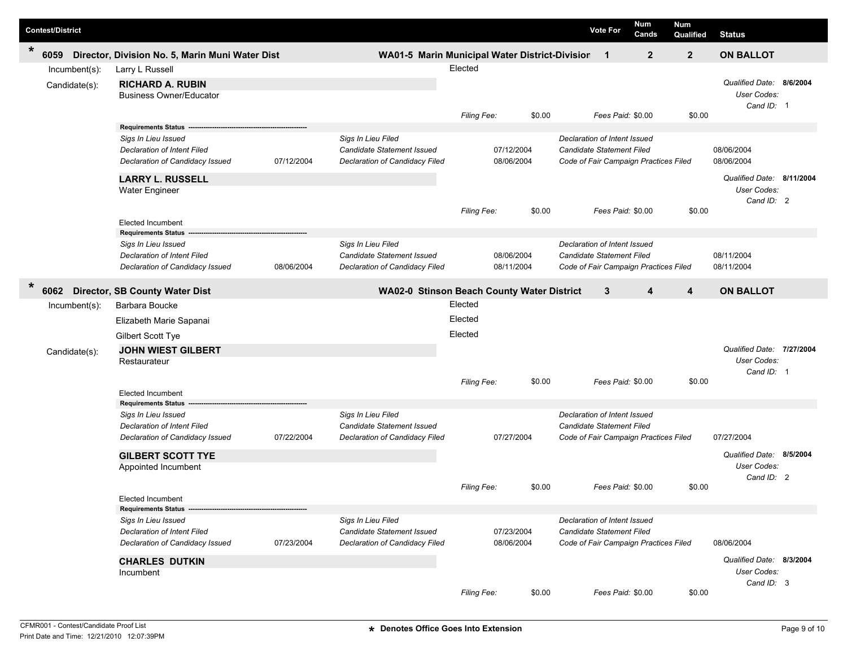| <b>Contest/District</b>        |                                                                                                                                                                                |            |                                                                                           |                                                     |                          |        | <b>Vote For</b>                                                                                           | <b>Num</b><br>Cands | Num<br>Qualified | <b>Status</b>                                                                      |  |
|--------------------------------|--------------------------------------------------------------------------------------------------------------------------------------------------------------------------------|------------|-------------------------------------------------------------------------------------------|-----------------------------------------------------|--------------------------|--------|-----------------------------------------------------------------------------------------------------------|---------------------|------------------|------------------------------------------------------------------------------------|--|
| $\ast$<br>6059                 | Director, Division No. 5, Marin Muni Water Dist                                                                                                                                |            | WA01-5 Marin Municipal Water District-Division                                            |                                                     |                          |        | $\mathbf 1$                                                                                               | $\mathbf{2}$        | $\overline{2}$   | <b>ON BALLOT</b>                                                                   |  |
| Incumbent(s):<br>Candidate(s): | Larry L Russell<br><b>RICHARD A. RUBIN</b><br><b>Business Owner/Educator</b>                                                                                                   |            |                                                                                           | Elected                                             |                          |        |                                                                                                           |                     |                  | Qualified Date: 8/6/2004<br>User Codes:                                            |  |
|                                |                                                                                                                                                                                |            |                                                                                           | Filing Fee:                                         |                          | \$0.00 | Fees Paid: \$0.00                                                                                         |                     | \$0.00           | Cand ID: 1                                                                         |  |
|                                | <b>Requirements Status</b><br>Sigs In Lieu Issued<br><b>Declaration of Intent Filed</b><br>Declaration of Candidacy Issued<br><b>LARRY L. RUSSELL</b><br><b>Water Engineer</b> | 07/12/2004 | Sigs In Lieu Filed<br>Candidate Statement Issued<br>Declaration of Candidacy Filed        |                                                     | 07/12/2004<br>08/06/2004 |        | Declaration of Intent Issued<br><b>Candidate Statement Filed</b><br>Code of Fair Campaign Practices Filed |                     |                  | 08/06/2004<br>08/06/2004<br>Qualified Date: 8/11/2004<br>User Codes:<br>Cand ID: 2 |  |
|                                | <b>Elected Incumbent</b>                                                                                                                                                       |            |                                                                                           | <b>Filing Fee:</b>                                  |                          | \$0.00 | Fees Paid: \$0.00                                                                                         |                     | \$0.00           |                                                                                    |  |
|                                | <b>Requirements Status</b><br>Sigs In Lieu Issued<br><b>Declaration of Intent Filed</b><br>Declaration of Candidacy Issued                                                     | 08/06/2004 | Sigs In Lieu Filed<br>Candidate Statement Issued<br>Declaration of Candidacy Filed        |                                                     | 08/06/2004<br>08/11/2004 |        | Declaration of Intent Issued<br><b>Candidate Statement Filed</b><br>Code of Fair Campaign Practices Filed |                     |                  | 08/11/2004<br>08/11/2004                                                           |  |
| $\star$<br>6062                | <b>Director, SB County Water Dist</b>                                                                                                                                          |            | WA02-0 Stinson Beach County Water District                                                |                                                     |                          |        | 3                                                                                                         | 4                   | 4                | <b>ON BALLOT</b>                                                                   |  |
| Incumbent(s):<br>Candidate(s): | Barbara Boucke<br>Elizabeth Marie Sapanai<br>Gilbert Scott Tye<br><b>JOHN WIEST GILBERT</b><br>Restaurateur<br><b>Elected Incumbent</b>                                        |            |                                                                                           | Elected<br>Elected<br>Elected<br><b>Filing Fee:</b> |                          | \$0.00 | Fees Paid: \$0.00                                                                                         |                     | \$0.00           | Qualified Date: 7/27/2004<br>User Codes:<br>Cand ID: 1                             |  |
|                                | <b>Requirements Status</b><br>Sigs In Lieu Issued<br><b>Declaration of Intent Filed</b><br>Declaration of Candidacy Issued<br><b>GILBERT SCOTT TYE</b>                         | 07/22/2004 | Sigs In Lieu Filed<br>Candidate Statement Issued<br>Declaration of Candidacy Filed        |                                                     | 07/27/2004               |        | Declaration of Intent Issued<br><b>Candidate Statement Filed</b><br>Code of Fair Campaign Practices Filed |                     |                  | 07/27/2004<br>Qualified Date: 8/5/2004                                             |  |
|                                | Appointed Incumbent<br>Elected Incumbent                                                                                                                                       |            |                                                                                           | <b>Filing Fee:</b>                                  |                          | \$0.00 | Fees Paid: \$0.00                                                                                         |                     | \$0.00           | User Codes:<br>Cand $ID: 2$                                                        |  |
|                                | <b>Requirements Status</b><br>Sigs In Lieu Issued<br><b>Declaration of Intent Filed</b><br>Declaration of Candidacy Issued<br><b>CHARLES DUTKIN</b><br>Incumbent               | 07/23/2004 | Sigs In Lieu Filed<br><b>Candidate Statement Issued</b><br>Declaration of Candidacy Filed | 07/23/2004<br>08/06/2004                            |                          |        | Declaration of Intent Issued<br>Candidate Statement Filed<br>Code of Fair Campaign Practices Filed        |                     |                  | 08/06/2004<br>Qualified Date: 8/3/2004<br>User Codes:                              |  |
|                                |                                                                                                                                                                                |            |                                                                                           | Filing Fee:                                         |                          | \$0.00 | Fees Paid: \$0.00                                                                                         |                     | \$0.00           | Cand ID: 3                                                                         |  |

I